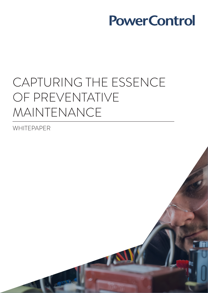# CAPTURING THE ESSENCE OF PREVENTATIVE MAINTENANCE

WHITEPAPER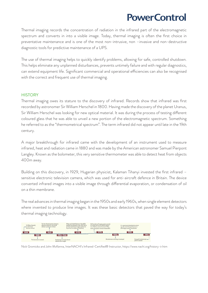Thermal imaging records the concentration of radiation in the infrared part of the electromagnetic spectrum and converts in into a visible image. Today, thermal imaging is often the first choice in preventative maintenance and is one of the most non-intrusive, non –invasive and non-destructive diagnostic tools for predictive maintenance of a UPS.

The use of thermal imaging helps to quickly identify problems, allowing for safe, controlled shutdown. This helps eliminate any unplanned disturbances, prevents untimely failure and with regular diagnostics, can extend equipment life. Significant commercial and operational efficiencies can also be recognised with the correct and frequent use of thermal imaging.

#### **HISTORY**

Thermal imaging owes its stature to the discovery of infrared. Records show that infrared was first recorded by astronomer Sir William Herschel in 1800. Having made the discovery of the planet Uranus, Sir William Herschel was looking for new optical material. It was during the process of testing different coloured glass that he was able to unveil a new portion of the electromagnetic spectrum. Something he referred to as the "thermometrical spectrum". The term infrared did not appear until late in the 19th century.

A major breakthrough for infrared came with the development of an instrument used to measure infrared, heat and radiation came in 1880 and was made by the American astronomer Samuel Pierpont Langley. Known as the bolometer, this very sensitive thermometer was able to detect heat from objects 400m away.

Building on this discovery, in 1929, Hugarian physicist, Kalaman Tihanyi invested the first infrared – sensitive electronic television camera, which was used for anti-aircraft defence in Britain. The device converted infrared images into a visible image through differential evaporation, or condensation of oil on a thin membrane.

The real advances in thermal imaging began in the 1950s and early 1960s, when single element detectors where invented to produce line images. It was these basic detectors that paved the way for today's thermal imaging technology.



Nick Gromicko and John McKenna, InterNACHI's Infrared-Certified® Instructor, https://www.nachi.org/history-ir.htm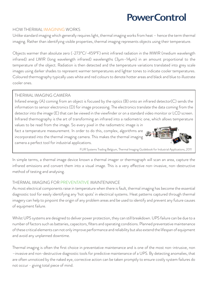### HOW THERMAL IMAGINNG WORKS

Unlike standard imaging which generally requires light, thermal imaging works from heat – hence the term thermal imaging. Rather than identifying visible properties, thermal imaging represents objects using their temperature.

Objects warmer than absolute zero (-273°C/-459°F) emit infrared radiation in the MWIR (medium wavelength infrared) and LWIR (long wavelength infrared) wavelengths (3µm–14µm) in an amount proportional to the temperature of the object. Radiation is then detected and the temperature variations translated into grey scale images using darker shades to represent warmer temperatures and lighter tones to indicate cooler temperatures. Coloured thermography typically uses white and red colours to denote hotter areas and black and blue to illustrate cooler ones.

## THERMAL IMAGING CAMERA

Infared energy (A) coming from an object is focused by the optics (B) onto an infrared detector(C) sends the information to sensor electronics (D) for image processing. The electronics translate the data coming from the detector into the image (E) that can be viewed in the viewfinder or on a standard video monitor or LCD screen. Infrared thermography is the art of transforming an infrared into a radiometric one, which allows temperature

values to be read from the image. So every pixel in the radiometric image is in fact a temperature measurement. In order to do this, complex, algorithms are incorporated into the thermal imaging camera. This makes the thermal imaging camera a perfect tool for industrial applications.



FLIR Systems Trading Belgium, Thermal Imaging Guidebook for Industrial Applications, 2011

In simple terms, a thermal image device known a thermal imager or thermograph will scan an area, capture the infrared emissions and convert them into a visual image. This is a very effective non-invasive, non-destructive method of testing and analysing.

## THERMAL IMAGING FOR PREVENTATIVE MAINTENANCE

As most electrical components raise in temperature when there is fault, thermal imaging has become the essential diagnostic tool for easily identifying any 'hot spots' in electrical systems. Heat patterns captured through thermal imagery can help to pinpoint the origin of any problem areas and be used to identify and prevent any future causes of equipment failure.

Whilst UPS systems are designed to deliver power protection, they can still breakdown. UPS failure can be due to a number of factors such as batteries, capacitors, filters and operating conditions. Planned preventative maintenance of these critical elements can not only improve performance and reliability but also extend the lifespan of equipment and avoid any unplanned downtime.

Thermal imaging is often the first choice in preventative maintenance and is one of the most non-intrusive, non –invasive and non-destructive diagnostic tools for predictive maintenance of a UPS. By detecting anomalies, that are often unnoticed by the naked eye, corrective action can be taken promptly to ensure costly system failures do not occur - giving total piece of mind.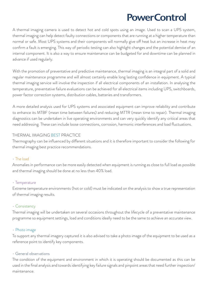A thermal imaging camera is used to detect hot and cold spots using an image. Used to scan a UPS system, thermal imaging can help detect faulty connections or components that are running at a higher temperature than normal or safe. Most UPS systems and their components will normally give off heat but an increase in heat may confirm a fault is emerging. This way of periodic testing can also highlight changes and the potential demise of an internal component. It is also a way to ensure maintenance can be budgeted for and downtime can be planned in advance if used regularly.

With the promotion of preventative and predictive maintenance, thermal imaging is an integral part of a solid and regular maintenance programme and will almost certainly enable long lasting confidence in equipment. A typical thermal imaging service will involve the inspection if all electrical components of an installation. In analysing the temperature, preventative failure evaluations can be achieved for all electrical items including UPS, switchboards, power factor correction systems, distribution cables, batteries and transformers.

A more detailed analysis used for UPS systems and associated equipment can improve reliability and contribute to enhance its MTBF (mean time between failures) and reducing MTTR (mean time to repair). Thermal imaging diagnostics can be undertaken in live operating environments and can very quickly identify any critical areas that need addressing. These can include loose connections, corrosion, harmonic interferences and load fluctuations.

### THERMAL IMAGING BEST PRACTICE

Thermography can be influenced by different situations and it is therefore important to consider the following for thermal imaging best practice recommendations.

#### - The load

Anomalies in performance can be more easily detected when equipment is running as close to full load as possible and thermal imaging should be done at no less than 40% load.

#### - Temperature

Extreme temperature environments (hot or cold) must be indicated on the analysis to show a true representation of thermal imaging results.

#### - Consistency

Thermal imaging will be undertaken on several occasions throughout the lifecycle of a preventative maintenance programme so equipment settings, load and conditions ideally need to be the same to achieve an accurate view.

### - Photo image

To support any thermal imagery captured it is also advised to take a photo image of the equipment to be used as a reference point to identify key components.

#### - General observations

The condition of the equipment and environment in which it is operating should be documented as this can be used in the final analysis and towards identifying key failure signals and pinpoint areas that need further inspection/ maintenance.